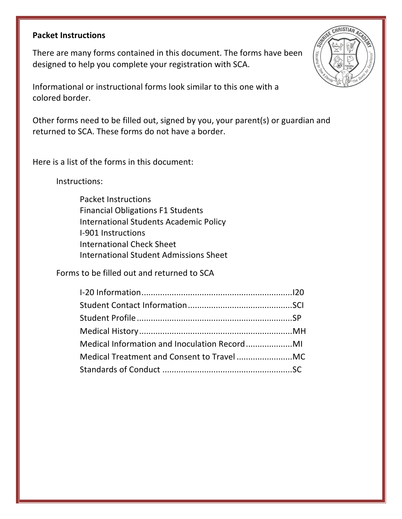### **Packet Instructions**

There are many forms contained in this document. The forms have been designed to help you complete your registration with SCA.

Informational or instructional forms look similar to this one with a colored border.

Other forms need to be filled out, signed by you, your parent(s) or guardian and returned to SCA. These forms do not have a border.

Here is a list of the forms in this document:

Instructions:

Packet Instructions Financial Obligations F1 Students International Students Academic Policy I-901 Instructions International Check Sheet International Student Admissions Sheet

Forms to be filled out and returned to SCA

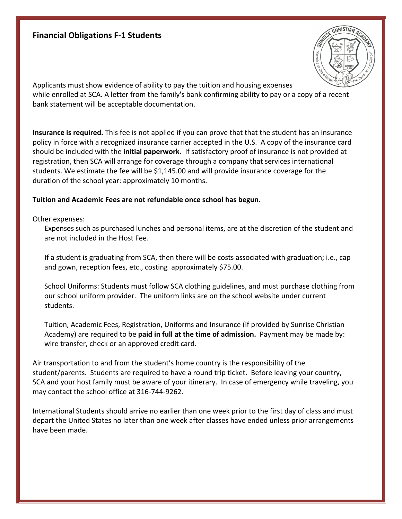## **Financial Obligations F-1 Students**



Applicants must show evidence of ability to pay the tuition and housing expenses while enrolled at SCA. A letter from the family's bank confirming ability to pay or a copy of a recent bank statement will be acceptable documentation.

**Insurance is required.** This fee is not applied if you can prove that that the student has an insurance policy in force with a recognized insurance carrier accepted in the U.S. A copy of the insurance card should be included with the **initial paperwork.** If satisfactory proof of insurance is not provided at registration, then SCA will arrange for coverage through a company that services international students. We estimate the fee will be \$1,145.00 and will provide insurance coverage for the duration of the school year: approximately 10 months.

### Tuition and Academic Fees are not refundable once school has begun.

Other expenses:

Expenses such as purchased lunches and personal items, are at the discretion of the student and are not included in the Host Fee.

If a student is graduating from SCA, then there will be costs associated with graduation; i.e., cap and gown, reception fees, etc., costing approximately \$75.00.

School Uniforms: Students must follow SCA clothing guidelines, and must purchase clothing from our school uniform provider. The uniform links are on the school website under current students.

Tuition, Academic Fees, Registration, Uniforms and Insurance (if provided by Sunrise Christian Academy) are required to be **paid in full at the time of admission.** Payment may be made by: wire transfer, check or an approved credit card.

Air transportation to and from the student's home country is the responsibility of the student/parents. Students are required to have a round trip ticket. Before leaving your country, SCA and your host family must be aware of your itinerary. In case of emergency while traveling, you may contact the school office at 316-744-9262.

International Students should arrive no earlier than one week prior to the first day of class and must depart the United States no later than one week after classes have ended unless prior arrangements have been made.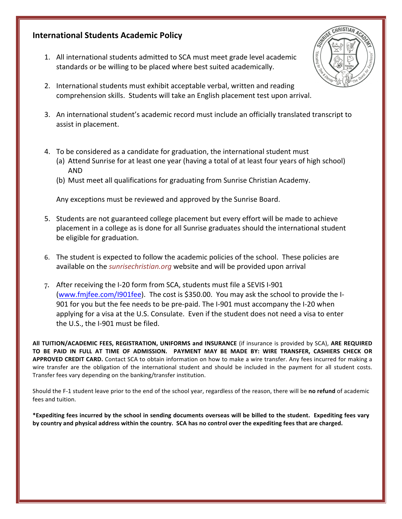## **International Students Academic Policy**

- 1. All international students admitted to SCA must meet grade level academic standards or be willing to be placed where best suited academically.
- 2. International students must exhibit acceptable verbal, written and reading comprehension skills. Students will take an English placement test upon arrival.
- 3. An international student's academic record must include an officially translated transcript to assist in placement.
- 4. To be considered as a candidate for graduation, the international student must
	- (a) Attend Sunrise for at least one year (having a total of at least four years of high school) AND
	- (b) Must meet all qualifications for graduating from Sunrise Christian Academy.

Any exceptions must be reviewed and approved by the Sunrise Board.

- 5. Students are not guaranteed college placement but every effort will be made to achieve placement in a college as is done for all Sunrise graduates should the international student be eligible for graduation.
- 6. The student is expected to follow the academic policies of the school. These policies are available on the *sunrisechristian.org* website and will be provided upon arrival
- 7. After receiving the I-20 form from SCA, students must file a SEVIS I-901 (www.fmjfee.com/I901fee). The cost is \$350.00. You may ask the school to provide the I-901 for you but the fee needs to be pre-paid. The I-901 must accompany the I-20 when applying for a visa at the U.S. Consulate. Even if the student does not need a visa to enter the U.S., the I-901 must be filed.

All TUITION/ACADEMIC FEES, REGISTRATION, UNIFORMS and INSURANCE (if insurance is provided by SCA), ARE REQUIRED **TO BE PAID IN FULL AT TIME OF ADMISSION. PAYMENT MAY BE MADE BY: WIRE TRANSFER, CASHIERS CHECK OR APPROVED CREDIT CARD.** Contact SCA to obtain information on how to make a wire transfer. Any fees incurred for making a wire transfer are the obligation of the international student and should be included in the payment for all student costs. Transfer fees vary depending on the banking/transfer institution.

Should the F-1 student leave prior to the end of the school year, regardless of the reason, there will be no refund of academic fees and tuition.

\*Expediting fees incurred by the school in sending documents overseas will be billed to the student. Expediting fees vary by country and physical address within the country. SCA has no control over the expediting fees that are charged.

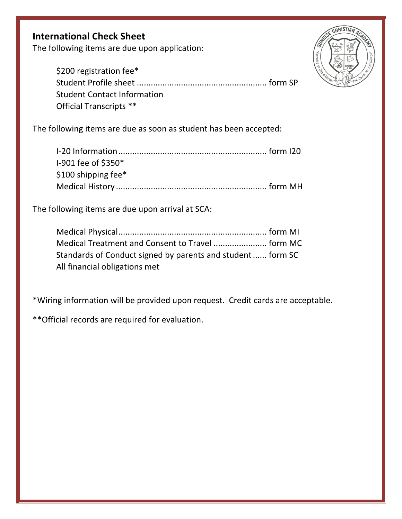# **International Check Sheet**

The following items are due upon application:

\$200 registration fee\* Student Profile sheet ........................................................ form SP Student Contact Information Official Transcripts \*\*

The following items are due as soon as student has been accepted:

| I-901 fee of \$350*    |  |
|------------------------|--|
| \$100 shipping fee $*$ |  |
|                        |  |

The following items are due upon arrival at SCA:

| Standards of Conduct signed by parents and student  form SC |  |
|-------------------------------------------------------------|--|
| All financial obligations met                               |  |

\*Wiring information will be provided upon request. Credit cards are acceptable.

\*\* Official records are required for evaluation.

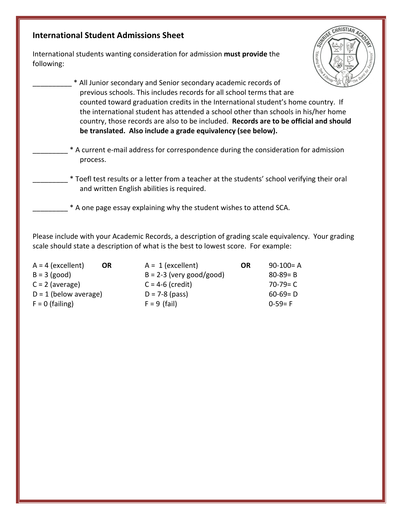## **International Student Admissions Sheet**

International students wanting consideration for admission must provide the following:



- \_\_\_\_\_\_\_\_\_\_ \* All Junior secondary and Senior secondary academic records of previous schools. This includes records for all school terms that are counted toward graduation credits in the International student's home country. If the international student has attended a school other than schools in his/her home country, those records are also to be included. Records are to be official and should be translated. Also include a grade equivalency (see below).
	- \* A current e-mail address for correspondence during the consideration for admission process.
	- \* Toefl test results or a letter from a teacher at the students' school verifying their oral and written English abilities is required.
	- \* A one page essay explaining why the student wishes to attend SCA.

Please include with your Academic Records, a description of grading scale equivalency. Your grading scale should state a description of what is the best to lowest score. For example:

| $A = 4$ (excellent)<br><b>OR</b> | $A = 1$ (excellent)        | OR | $90-100=$ A   |
|----------------------------------|----------------------------|----|---------------|
| $B = 3$ (good)                   | $B = 2-3$ (very good/good) |    | $80 - 89 = B$ |
| $C = 2$ (average)                | $C = 4-6$ (credit)         |    | $70-79= C$    |
| $D = 1$ (below average)          | $D = 7-8$ (pass)           |    | $60-69= D$    |
| $F = 0$ (failing)                | $F = 9$ (fail)             |    | $0-59=$ F     |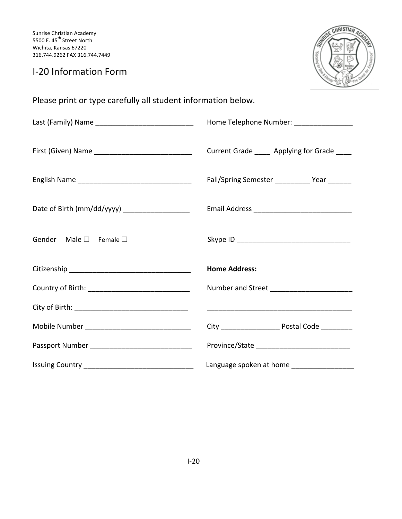## I-20 Information Form



Please print or type carefully all student information below.

|                                                | Home Telephone Number: _________________       |  |  |  |  |
|------------------------------------------------|------------------------------------------------|--|--|--|--|
|                                                | Current Grade _____ Applying for Grade ____    |  |  |  |  |
|                                                | Fall/Spring Semester ____________ Year _______ |  |  |  |  |
| Date of Birth (mm/dd/yyyy) ___________________ |                                                |  |  |  |  |
| Gender Male $\square$ Female $\square$         |                                                |  |  |  |  |
|                                                | <b>Home Address:</b>                           |  |  |  |  |
|                                                |                                                |  |  |  |  |
|                                                |                                                |  |  |  |  |
|                                                |                                                |  |  |  |  |
|                                                |                                                |  |  |  |  |
|                                                | Language spoken at home ____________________   |  |  |  |  |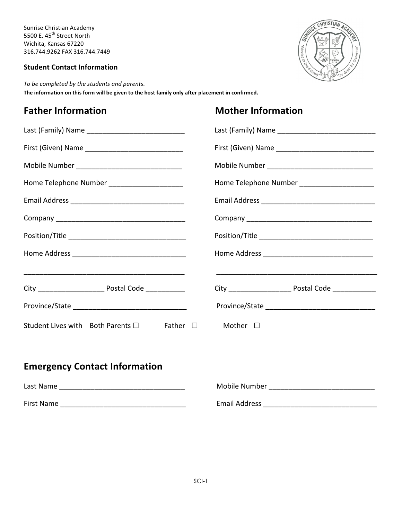### **Student Contact Information**



To be completed by the students and parents. The information on this form will be given to the host family only after placement in confirmed.

# **Father Information Mother Information**

| Home Telephone Number _______________________ | Home Telephone Number _______________________ |
|-----------------------------------------------|-----------------------------------------------|
|                                               |                                               |
|                                               |                                               |
|                                               |                                               |
|                                               |                                               |
|                                               |                                               |
|                                               |                                               |
| Student Lives with Both Parents □ Father □    | Mother $\Box$                                 |

# **Emergency Contact Information**

| Last Name  | Mobile Number        |
|------------|----------------------|
| First Name | <b>Email Address</b> |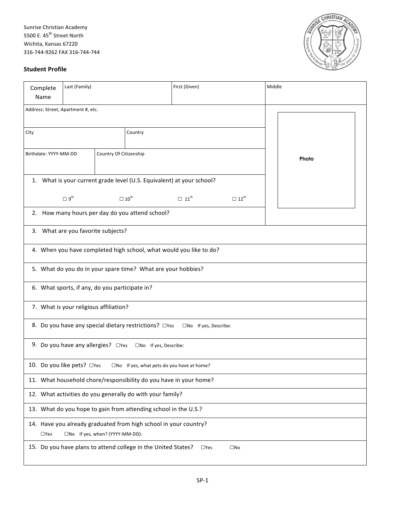

#### **Student Profile**

| Complete                                        |                                                                                                                   | Last (Family)                                  |  |                                                                   | First (Given)                                                         |                         | Middle |  |
|-------------------------------------------------|-------------------------------------------------------------------------------------------------------------------|------------------------------------------------|--|-------------------------------------------------------------------|-----------------------------------------------------------------------|-------------------------|--------|--|
| Name<br>Address: Street, Apartment #, etc.      |                                                                                                                   |                                                |  |                                                                   |                                                                       |                         |        |  |
|                                                 |                                                                                                                   |                                                |  |                                                                   |                                                                       |                         |        |  |
| City                                            |                                                                                                                   |                                                |  | Country                                                           |                                                                       |                         |        |  |
| Birthdate: YYYY-MM-DD<br>Country Of Citizenship |                                                                                                                   |                                                |  |                                                                   |                                                                       | Photo                   |        |  |
|                                                 |                                                                                                                   |                                                |  |                                                                   | 1. What is your current grade level (U.S. Equivalent) at your school? |                         |        |  |
|                                                 |                                                                                                                   | $\square$ 9 <sup>th</sup>                      |  | $\square$ 10 <sup>th</sup>                                        | $\Box$ 11 <sup>th</sup>                                               | $\Box$ 12 <sup>th</sup> |        |  |
|                                                 |                                                                                                                   |                                                |  | 2. How many hours per day do you attend school?                   |                                                                       |                         |        |  |
|                                                 |                                                                                                                   | 3. What are you favorite subjects?             |  |                                                                   |                                                                       |                         |        |  |
|                                                 |                                                                                                                   |                                                |  |                                                                   | 4. When you have completed high school, what would you like to do?    |                         |        |  |
|                                                 |                                                                                                                   |                                                |  | 5. What do you do in your spare time? What are your hobbies?      |                                                                       |                         |        |  |
|                                                 |                                                                                                                   | 6. What sports, if any, do you participate in? |  |                                                                   |                                                                       |                         |        |  |
|                                                 |                                                                                                                   | 7. What is your religious affiliation?         |  |                                                                   |                                                                       |                         |        |  |
|                                                 |                                                                                                                   |                                                |  | 8. Do you have any special dietary restrictions? □ Yes            | □No If yes, Describe:                                                 |                         |        |  |
|                                                 |                                                                                                                   | 9. Do you have any allergies? □ Yes            |  | □No If yes, Describe:                                             |                                                                       |                         |        |  |
|                                                 |                                                                                                                   | 10. Do you like pets? □Yes                     |  | $\square$ No If yes, what pets do you have at home?               |                                                                       |                         |        |  |
|                                                 |                                                                                                                   |                                                |  | 11. What household chore/responsibility do you have in your home? |                                                                       |                         |        |  |
|                                                 | 12. What activities do you generally do with your family?                                                         |                                                |  |                                                                   |                                                                       |                         |        |  |
|                                                 | 13. What do you hope to gain from attending school in the U.S.?                                                   |                                                |  |                                                                   |                                                                       |                         |        |  |
|                                                 | 14. Have you already graduated from high school in your country?<br>□No If yes, when? (YYYY-MM-DD):<br>$\Box$ Yes |                                                |  |                                                                   |                                                                       |                         |        |  |
|                                                 | 15. Do you have plans to attend college in the United States?<br>$\Box$ Yes<br>$\square$ No                       |                                                |  |                                                                   |                                                                       |                         |        |  |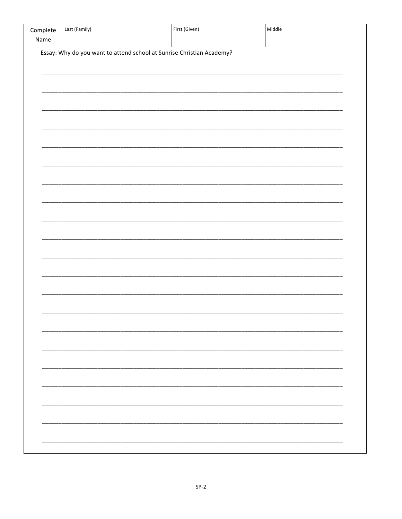| Complete<br>Name | Last (Family)                                                         | First (Given) | Middle |
|------------------|-----------------------------------------------------------------------|---------------|--------|
|                  | Essay: Why do you want to attend school at Sunrise Christian Academy? |               |        |
|                  |                                                                       |               |        |
|                  |                                                                       |               |        |
|                  |                                                                       |               |        |
|                  |                                                                       |               |        |
|                  |                                                                       |               |        |
|                  |                                                                       |               |        |
|                  |                                                                       |               |        |
|                  |                                                                       |               |        |
|                  |                                                                       |               |        |
|                  |                                                                       |               |        |
|                  |                                                                       |               |        |
|                  |                                                                       |               |        |
|                  |                                                                       |               |        |
|                  |                                                                       |               |        |
|                  |                                                                       |               |        |
|                  |                                                                       |               |        |
|                  |                                                                       |               |        |
|                  |                                                                       |               |        |
|                  |                                                                       |               |        |
|                  |                                                                       |               |        |
|                  |                                                                       |               |        |
|                  |                                                                       |               |        |
|                  |                                                                       |               |        |
|                  |                                                                       |               |        |
|                  |                                                                       |               |        |
|                  |                                                                       |               |        |
|                  |                                                                       |               |        |
|                  |                                                                       |               |        |
|                  |                                                                       |               |        |
|                  |                                                                       |               |        |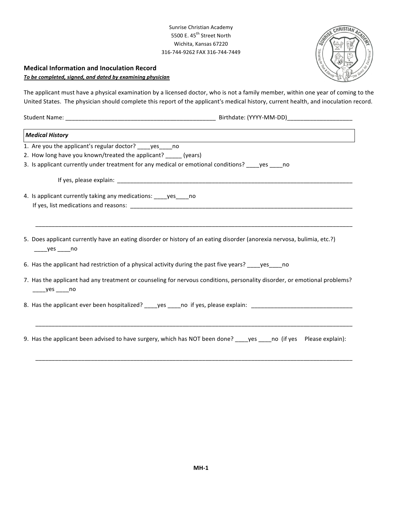#### **Medical Information and Inoculation Record**

To be completed, signed, and dated by examining physician

The applicant must have a physical examination by a licensed doctor, who is not a family member, within one year of coming to the United States. The physician should complete this report of the applicant's medical history, current health, and inoculation record.

Student Name: \_\_\_\_\_\_\_\_\_\_\_\_\_\_\_\_\_\_\_\_\_\_\_\_\_\_\_\_\_\_\_\_\_\_\_\_\_\_\_\_\_\_\_\_\_\_ Birthdate: (YYYY-MM-DD)\_\_\_\_\_\_\_\_\_\_\_\_\_\_\_\_\_\_\_\_

| <b>Medical History</b>                                                                                                              |
|-------------------------------------------------------------------------------------------------------------------------------------|
| 1. Are you the applicant's regular doctor? _____ yes _____ no                                                                       |
| 2. How long have you known/treated the applicant? _____ (years)                                                                     |
| 3. Is applicant currently under treatment for any medical or emotional conditions? ____yes ____no                                   |
|                                                                                                                                     |
| 4. Is applicant currently taking any medications: _____ yes _____ no                                                                |
|                                                                                                                                     |
| 5. Does applicant currently have an eating disorder or history of an eating disorder (anorexia nervosa, bulimia, etc.?)<br>yes no   |
| 6. Has the applicant had restriction of a physical activity during the past five years? _____ yes_____ no                           |
| 7. Has the applicant had any treatment or counseling for nervous conditions, personality disorder, or emotional problems?<br>yes no |
|                                                                                                                                     |

9. Has the applicant been advised to have surgery, which has NOT been done? \_\_\_\_yes \_\_\_\_no (if yes Please explain):

\_\_\_\_\_\_\_\_\_\_\_\_\_\_\_\_\_\_\_\_\_\_\_\_\_\_\_\_\_\_\_\_\_\_\_\_\_\_\_\_\_\_\_\_\_\_\_\_\_\_\_\_\_\_\_\_\_\_\_\_\_\_\_\_\_\_\_\_\_\_\_\_\_\_\_\_\_\_\_\_\_\_\_\_\_\_\_\_\_\_\_\_\_\_\_\_\_

\_\_\_\_\_\_\_\_\_\_\_\_\_\_\_\_\_\_\_\_\_\_\_\_\_\_\_\_\_\_\_\_\_\_\_\_\_\_\_\_\_\_\_\_\_\_\_\_\_\_\_\_\_\_\_\_\_\_\_\_\_\_\_\_\_\_\_\_\_\_\_\_\_\_\_\_\_\_\_\_\_\_\_\_\_\_\_\_\_\_\_\_\_\_\_\_\_

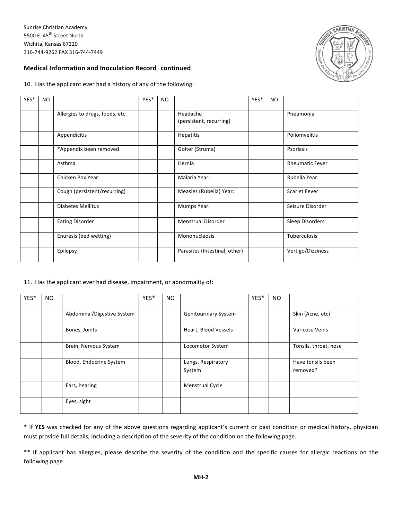

#### **Medical Information and Inoculation Record - continued**

10. Has the applicant ever had a history of any of the following:

| YES* | NO. |                                 | YES* | <b>NO</b> |                                     | YES* | <b>NO</b> |                        |
|------|-----|---------------------------------|------|-----------|-------------------------------------|------|-----------|------------------------|
|      |     | Allergies to drugs, foods, etc. |      |           | Headache<br>(persistent, recurring) |      |           | Pneumonia              |
|      |     | Appendicitis                    |      |           | <b>Hepatitis</b>                    |      |           | Poliomyelitis          |
|      |     | *Appendix been removed          |      |           | Goiter (Struma)                     |      |           | Psoriasis              |
|      |     | Asthma                          |      |           | Hernia                              |      |           | <b>Rheumatic Fever</b> |
|      |     | Chicken Pox Year:               |      |           | Malaria Year:                       |      |           | Rubella Year:          |
|      |     | Cough (persistent/recurring)    |      |           | Measles (Rubella) Year:             |      |           | <b>Scarlet Fever</b>   |
|      |     | <b>Diabetes Mellitus</b>        |      |           | Mumps Year:                         |      |           | Seizure Disorder       |
|      |     | <b>Eating Disorder</b>          |      |           | <b>Menstrual Disorder</b>           |      |           | Sleep Disorders        |
|      |     | Enuresis (bed wetting)          |      |           | Mononucleosis                       |      |           | Tuberculosis           |
|      |     | Epilepsy                        |      |           | Parasites (Intestinal, other)       |      |           | Vertigo/Dizziness      |

#### 11. Has the applicant ever had disease, impairment, or abnormality of:

| YES* | NO. |                            | YES* | NO. |                              | YES* | <b>NO</b> |                               |
|------|-----|----------------------------|------|-----|------------------------------|------|-----------|-------------------------------|
|      |     | Abdominal/Digestive System |      |     | <b>Genitourinary System</b>  |      |           | Skin (Acne, etc)              |
|      |     | Bones, Joints              |      |     | Heart, Blood Vessels         |      |           | Varicose Veins                |
|      |     | Brain, Nervous System      |      |     | Locomotor System             |      |           | Tonsils, throat, nose         |
|      |     | Blood, Endocrine System    |      |     | Lungs, Respiratory<br>System |      |           | Have tonsils been<br>removed? |
|      |     | Ears, hearing              |      |     | <b>Menstrual Cycle</b>       |      |           |                               |
|      |     | Eyes, sight                |      |     |                              |      |           |                               |

\* If YES was checked for any of the above questions regarding applicant's current or past condition or medical history, physician must provide full details, including a description of the severity of the condition on the following page.

\*\* If applicant has allergies, please describe the severity of the condition and the specific causes for allergic reactions on the following page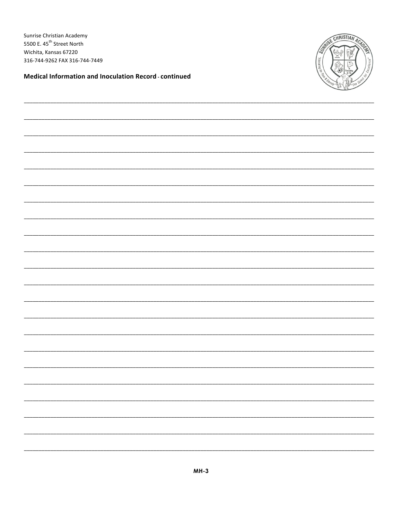Medical Information and Inoculation Record - continued

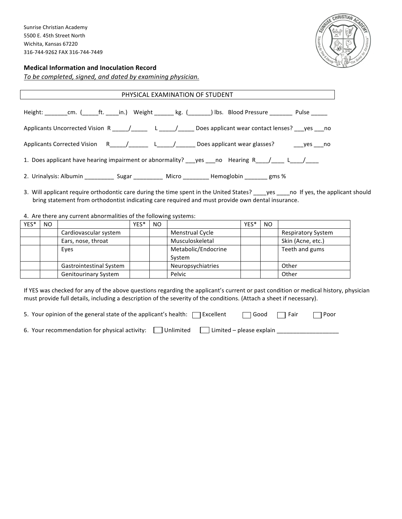

#### **Medical Information and Inoculation Record**

To be completed, signed, and dated by examining physician.

| PHYSICAL EXAMINATION OF STUDENT                                                                                    |  |  |  |  |
|--------------------------------------------------------------------------------------------------------------------|--|--|--|--|
| Height: ________cm. (______ft. _____in.) Weight ________ kg. (________) lbs. Blood Pressure _________ Pulse ______ |  |  |  |  |
| Applicants Uncorrected Vision R _____/_______ L _____/______ Does applicant wear contact lenses? ___yes ___no      |  |  |  |  |
| Applicants Corrected Vision R_____/_________L_____/_______Does applicant wear glasses? ________yes____no           |  |  |  |  |
| 1. Does applicant have hearing impairment or abnormality? ___ yes ___ no __ Hearing R____/________/_____           |  |  |  |  |
| 2. Urinalysis: Albumin _____________ Sugar ____________ Micro __________ Hemoglobin ________ gms %                 |  |  |  |  |

3. Will applicant require orthodontic care during the time spent in the United States? \_\_\_\_yes \_\_\_\_no If yes, the applicant should bring statement from orthodontist indicating care required and must provide own dental insurance.

#### 4. Are there any current abnormalities of the following systems:

| YES* | NO. |                                | YES* | NO. |                        | YES* | <b>NO</b> |                           |
|------|-----|--------------------------------|------|-----|------------------------|------|-----------|---------------------------|
|      |     | Cardiovascular system          |      |     | <b>Menstrual Cycle</b> |      |           | <b>Respiratory System</b> |
|      |     | Ears, nose, throat             |      |     | Musculoskeletal        |      |           | Skin (Acne, etc.)         |
|      |     | Eyes                           |      |     | Metabolic/Endocrine    |      |           | Teeth and gums            |
|      |     |                                |      |     | System                 |      |           |                           |
|      |     | <b>Gastrointestinal System</b> |      |     | Neuropsychiatries      |      |           | Other                     |
|      |     | <b>Genitourinary System</b>    |      |     | Pelvic                 |      |           | Other                     |

If YES was checked for any of the above questions regarding the applicant's current or past condition or medical history, physician must provide full details, including a description of the severity of the conditions. (Attach a sheet if necessary).

| 5. Your opinion of the general state of the applicant's health: $\Box$ Excellent $\Box$ Good $\Box$ Fair $\Box$ Poor |  |  |
|----------------------------------------------------------------------------------------------------------------------|--|--|
| 6. Your recommendation for physical activity: $\Box$ Unlimited $\Box$ Limited – please explain                       |  |  |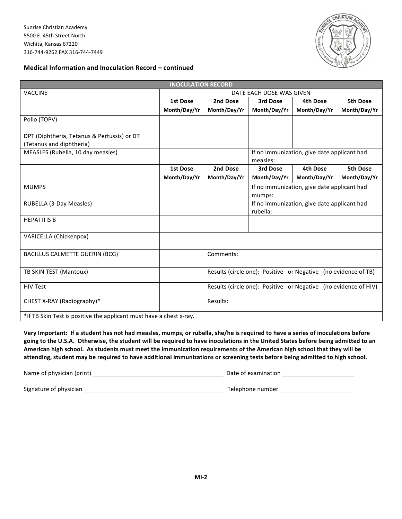

#### **Medical Information and Inoculation Record – continued**

| <b>INOCULATION RECORD</b>                                           |                          |              |                                                                 |                                             |                 |
|---------------------------------------------------------------------|--------------------------|--------------|-----------------------------------------------------------------|---------------------------------------------|-----------------|
| VACCINE                                                             | DATE EACH DOSE WAS GIVEN |              |                                                                 |                                             |                 |
|                                                                     | <b>1st Dose</b>          | 2nd Dose     | 3rd Dose                                                        | 4th Dose                                    | <b>5th Dose</b> |
|                                                                     | Month/Day/Yr             | Month/Day/Yr | Month/Day/Yr                                                    | Month/Day/Yr                                | Month/Day/Yr    |
| Polio (TOPV)                                                        |                          |              |                                                                 |                                             |                 |
| DPT (Diphtheria, Tetanus & Pertussis) or DT                         |                          |              |                                                                 |                                             |                 |
| (Tetanus and diphtheria)                                            |                          |              |                                                                 |                                             |                 |
| MEASLES (Rubella, 10 day measles)                                   |                          |              | measles:                                                        | If no immunization, give date applicant had |                 |
|                                                                     | <b>1st Dose</b>          | 2nd Dose     | 3rd Dose                                                        | <b>4th Dose</b>                             | <b>5th Dose</b> |
|                                                                     | Month/Day/Yr             | Month/Day/Yr | Month/Day/Yr                                                    | Month/Day/Yr                                | Month/Day/Yr    |
| <b>MUMPS</b>                                                        |                          |              | mumps:                                                          | If no immunization, give date applicant had |                 |
| RUBELLA (3-Day Measles)                                             |                          |              | rubella:                                                        | If no immunization, give date applicant had |                 |
| <b>HEPATITIS B</b>                                                  |                          |              |                                                                 |                                             |                 |
| VARICELLA (Chickenpox)                                              |                          |              |                                                                 |                                             |                 |
| <b>BACILLUS CALMETTE GUERIN (BCG)</b>                               |                          | Comments:    |                                                                 |                                             |                 |
| TB SKIN TEST (Mantoux)                                              |                          |              | Results (circle one): Positive or Negative (no evidence of TB)  |                                             |                 |
| <b>HIV Test</b>                                                     |                          |              | Results (circle one): Positive or Negative (no evidence of HIV) |                                             |                 |
| CHEST X-RAY (Radiography)*                                          |                          | Results:     |                                                                 |                                             |                 |
| *If TB Skin Test is positive the applicant must have a chest x-ray. |                          |              |                                                                 |                                             |                 |

Very Important: If a student has not had measles, mumps, or rubella, she/he is required to have a series of inoculations before going to the U.S.A. Otherwise, the student will be required to have inoculations in the United States before being admitted to an American high school. As students must meet the immunization requirements of the American high school that they will be attending, student may be required to have additional immunizations or screening tests before being admitted to high school.

| Name of physician (print) | Date of examination |  |
|---------------------------|---------------------|--|
| Signature of physician    | Telephone number    |  |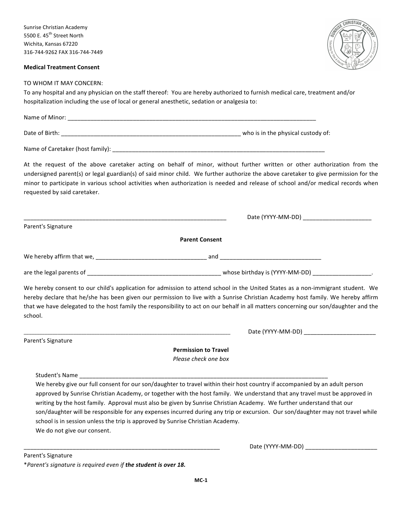#### **Medical Treatment Consent**



\_\_\_\_\_\_\_\_\_\_\_\_\_\_\_\_\_\_\_\_\_\_\_\_\_\_\_\_\_\_\_\_\_\_\_\_\_\_\_\_\_\_\_\_\_\_\_\_\_\_\_\_\_\_\_\_\_\_\_\_\_\_\_\_\_\_\_\_\_\_\_\_\_\_\_\_\_\_\_ Date (YYYY-MM-DD) \_\_\_\_\_\_\_\_\_\_\_\_\_\_\_\_\_\_\_\_\_\_

\_\_\_\_\_\_\_\_\_\_\_\_\_\_\_\_\_\_\_\_\_\_\_\_\_\_\_\_\_\_\_\_\_\_\_\_\_\_\_\_\_\_\_\_\_\_\_\_\_\_\_\_\_\_\_\_\_\_\_\_ Date (YYYY-MM-DD) \_\_\_\_\_\_\_\_\_\_\_\_\_\_\_\_\_\_\_\_\_\_

#### TO WHOM IT MAY CONCERN:

To any hospital and any physician on the staff thereof: You are hereby authorized to furnish medical care, treatment and/or hospitalization including the use of local or general anesthetic, sedation or analgesia to:

| Name of Minor: |                                    |
|----------------|------------------------------------|
| Date of Birth: | who is in the physical custody of: |

Name of Caretaker (host family): \_\_\_\_\_\_\_\_\_\_\_\_\_\_\_\_\_\_\_\_\_\_\_\_\_\_\_\_\_\_\_\_\_\_\_\_\_\_\_\_\_\_\_\_\_\_\_\_\_\_\_\_\_\_\_\_\_\_\_\_\_\_\_\_\_

At the request of the above caretaker acting on behalf of minor, without further written or other authorization from the undersigned parent(s) or legal guardian(s) of said minor child. We further authorize the above caretaker to give permission for the minor to participate in various school activities when authorization is needed and release of school and/or medical records when requested by said caretaker.

|                                      | Date (YYYY-MM-DD)              |  |
|--------------------------------------|--------------------------------|--|
| Parent's Signature                   |                                |  |
|                                      | <b>Parent Consent</b>          |  |
| We hereby affirm that we, __________ | and                            |  |
| are the legal parents of             | whose birthday is (YYYY-MM-DD) |  |

We hereby consent to our child's application for admission to attend school in the United States as a non-immigrant student. We hereby declare that he/she has been given our permission to live with a Sunrise Christian Academy host family. We hereby affirm that we have delegated to the host family the responsibility to act on our behalf in all matters concerning our son/daughter and the school.

**Permission to Travel** 

*Please check one box*

| Student's Name |
|----------------|
|                |

We hereby give our full consent for our son/daughter to travel within their host country if accompanied by an adult person approved by Sunrise Christian Academy, or together with the host family. We understand that any travel must be approved in writing by the host family. Approval must also be given by Sunrise Christian Academy. We further understand that our son/daughter will be responsible for any expenses incurred during any trip or excursion. Our son/daughter may not travel while school is in session unless the trip is approved by Sunrise Christian Academy. We do not give our consent.

Parent's Signature

\*Parent's signature is required even if the student is over 18.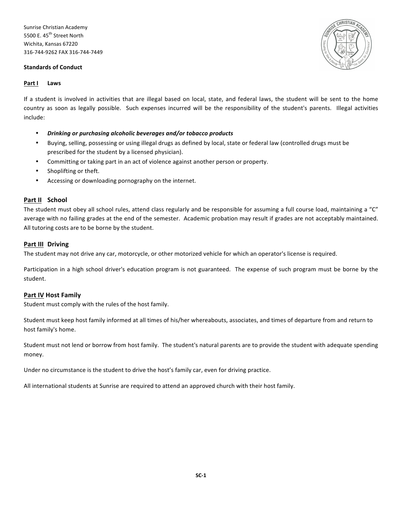#### **Standards of Conduct**



#### **Part I Laws**

If a student is involved in activities that are illegal based on local, state, and federal laws, the student will be sent to the home country as soon as legally possible. Such expenses incurred will be the responsibility of the student's parents. Illegal activities include:

- *Drinking or purchasing alcoholic beverages and/or tobacco products*
- Buying, selling, possessing or using illegal drugs as defined by local, state or federal law (controlled drugs must be prescribed for the student by a licensed physician).
- Committing or taking part in an act of violence against another person or property.
- Shoplifting or theft.
- Accessing or downloading pornography on the internet.

#### **Part II School**

The student must obey all school rules, attend class regularly and be responsible for assuming a full course load, maintaining a "C" average with no failing grades at the end of the semester. Academic probation may result if grades are not acceptably maintained. All tutoring costs are to be borne by the student.

#### **Part III Driving**

The student may not drive any car, motorcycle, or other motorized vehicle for which an operator's license is required.

Participation in a high school driver's education program is not guaranteed. The expense of such program must be borne by the student.

#### **Part IV Host Family**

Student must comply with the rules of the host family.

Student must keep host family informed at all times of his/her whereabouts, associates, and times of departure from and return to host family's home.

Student must not lend or borrow from host family. The student's natural parents are to provide the student with adequate spending money.

Under no circumstance is the student to drive the host's family car, even for driving practice.

All international students at Sunrise are required to attend an approved church with their host family.